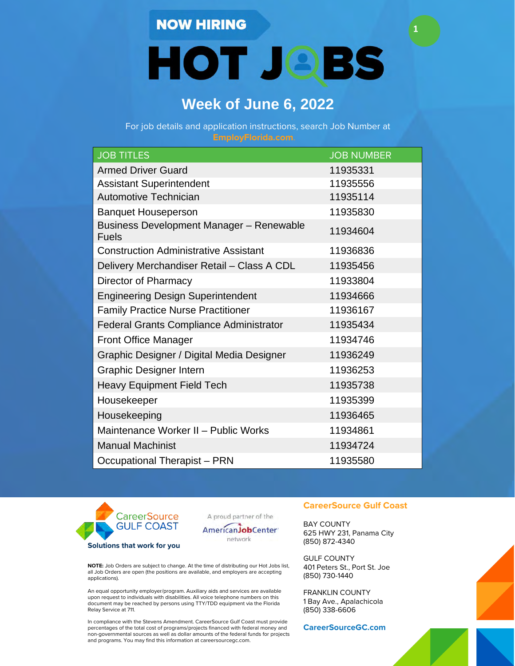## **NOW HIRING**

**HOT JOBS** 

**1**

# **Week of June 6, 2022**

For job details and application instructions, search Job Number at

| <b>JOB TITLES</b>                                               | <b>JOB NUMBER</b> |
|-----------------------------------------------------------------|-------------------|
| <b>Armed Driver Guard</b>                                       | 11935331          |
| <b>Assistant Superintendent</b>                                 | 11935556          |
| Automotive Technician                                           | 11935114          |
| <b>Banquet Houseperson</b>                                      | 11935830          |
| <b>Business Development Manager - Renewable</b><br><b>Fuels</b> | 11934604          |
| <b>Construction Administrative Assistant</b>                    | 11936836          |
| Delivery Merchandiser Retail - Class A CDL                      | 11935456          |
| Director of Pharmacy                                            | 11933804          |
| <b>Engineering Design Superintendent</b>                        | 11934666          |
| <b>Family Practice Nurse Practitioner</b>                       | 11936167          |
| <b>Federal Grants Compliance Administrator</b>                  | 11935434          |
| <b>Front Office Manager</b>                                     | 11934746          |
| Graphic Designer / Digital Media Designer                       | 11936249          |
| <b>Graphic Designer Intern</b>                                  | 11936253          |
| <b>Heavy Equipment Field Tech</b>                               | 11935738          |
| Housekeeper                                                     | 11935399          |
| Housekeeping                                                    | 11936465          |
| Maintenance Worker II - Public Works                            | 11934861          |
| <b>Manual Machinist</b>                                         | 11934724          |
| Occupational Therapist - PRN                                    | 11935580          |



A proud partner of the

AmericanJobCenter' network

**NOTE:** Job Orders are subject to change. At the time of distributing our Hot Jobs list, all Job Orders are open (the positions are available, and employers are accepting applications).

An equal opportunity employer/program. Auxiliary aids and services are available upon request to individuals with disabilities. All voice telephone numbers on this document may be reached by persons using TTY/TDD equipment via the Florida Relay Service at 711.

In compliance with the Stevens Amendment. CareerSource Gulf Coast must provide percentages of the total cost of programs/projects financed with federal money and non-governmental sources as well as dollar amounts of the federal funds for projects and programs. You may find this information at careersourcegc.com.

### **CareerSource Gulf Coast**

BAY COUNTY 625 HWY 231, Panama City (850) 872-4340

GULF COUNTY 401 Peters St., Port St. Joe (850) 730-1440

FRANKLIN COUNTY 1 Bay Ave., Apalachicola (850) 338-6606

**CareerSourceGC.com**